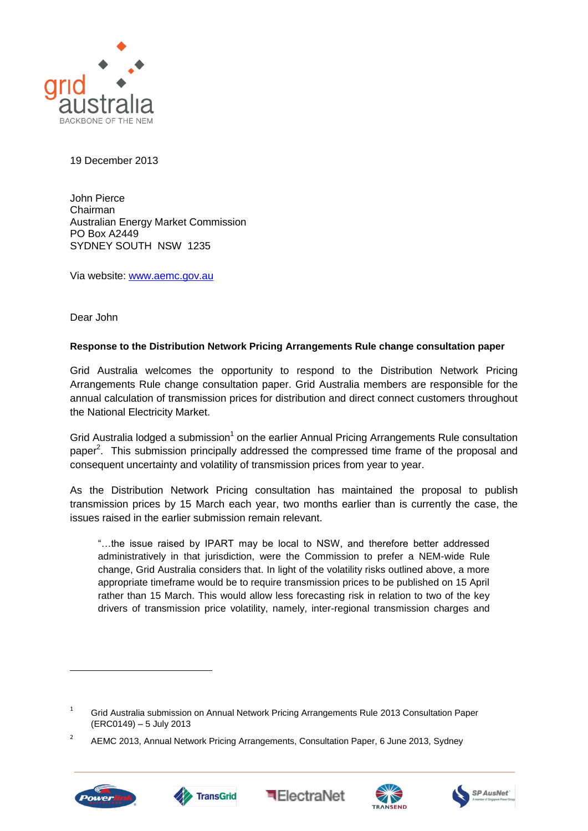

19 December 2013

John Pierce Chairman Australian Energy Market Commission PO Box A2449 SYDNEY SOUTH NSW 1235

Via website: [www.aemc.gov.au](http://www.aemc.gov.au/)

Dear John

## **Response to the Distribution Network Pricing Arrangements Rule change consultation paper**

Grid Australia welcomes the opportunity to respond to the Distribution Network Pricing Arrangements Rule change consultation paper. Grid Australia members are responsible for the annual calculation of transmission prices for distribution and direct connect customers throughout the National Electricity Market.

Grid Australia lodged a submission<sup>1</sup> on the earlier Annual Pricing Arrangements Rule consultation paper<sup>2</sup>. This submission principally addressed the compressed time frame of the proposal and consequent uncertainty and volatility of transmission prices from year to year.

As the Distribution Network Pricing consultation has maintained the proposal to publish transmission prices by 15 March each year, two months earlier than is currently the case, the issues raised in the earlier submission remain relevant.

"…the issue raised by IPART may be local to NSW, and therefore better addressed administratively in that jurisdiction, were the Commission to prefer a NEM-wide Rule change, Grid Australia considers that. In light of the volatility risks outlined above, a more appropriate timeframe would be to require transmission prices to be published on 15 April rather than 15 March. This would allow less forecasting risk in relation to two of the key drivers of transmission price volatility, namely, inter-regional transmission charges and

 $\overline{2}$ AEMC 2013, Annual Network Pricing Arrangements, Consultation Paper, 6 June 2013, Sydney



 $\overline{a}$ 









<sup>&</sup>lt;sup>1</sup> Grid Australia submission on Annual Network Pricing Arrangements Rule 2013 Consultation Paper (ERC0149) – 5 July 2013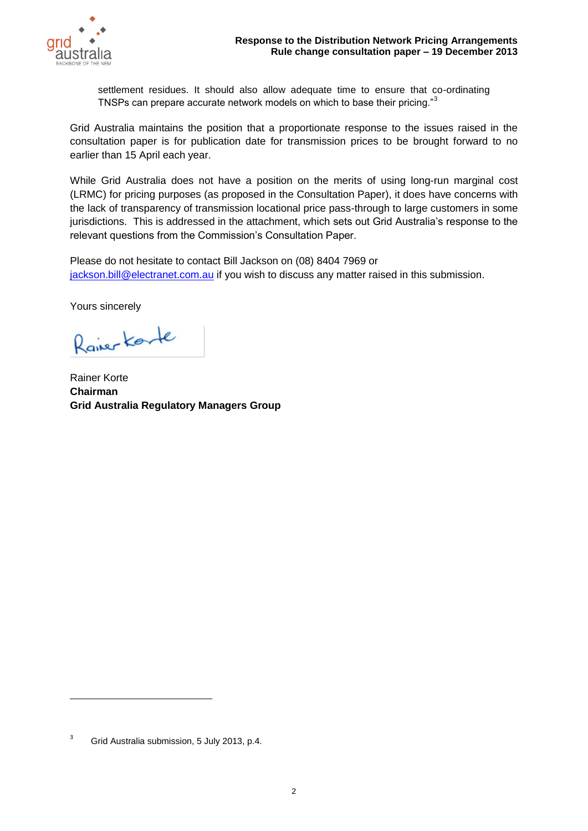

settlement residues. It should also allow adequate time to ensure that co-ordinating TNSPs can prepare accurate network models on which to base their pricing."<sup>3</sup>

Grid Australia maintains the position that a proportionate response to the issues raised in the consultation paper is for publication date for transmission prices to be brought forward to no earlier than 15 April each year.

While Grid Australia does not have a position on the merits of using long-run marginal cost (LRMC) for pricing purposes (as proposed in the Consultation Paper), it does have concerns with the lack of transparency of transmission locational price pass-through to large customers in some jurisdictions. This is addressed in the attachment, which sets out Grid Australia's response to the relevant questions from the Commission's Consultation Paper.

Please do not hesitate to contact Bill Jackson on (08) 8404 7969 or [jackson.bill@electranet.com.au](mailto:jackson.bill@electranet.com.au) if you wish to discuss any matter raised in this submission.

Yours sincerely

Raiser Karte

Rainer Korte **Chairman Grid Australia Regulatory Managers Group**

 $\overline{a}$ 

<sup>&</sup>lt;sup>3</sup> Grid Australia submission, 5 July 2013, p.4.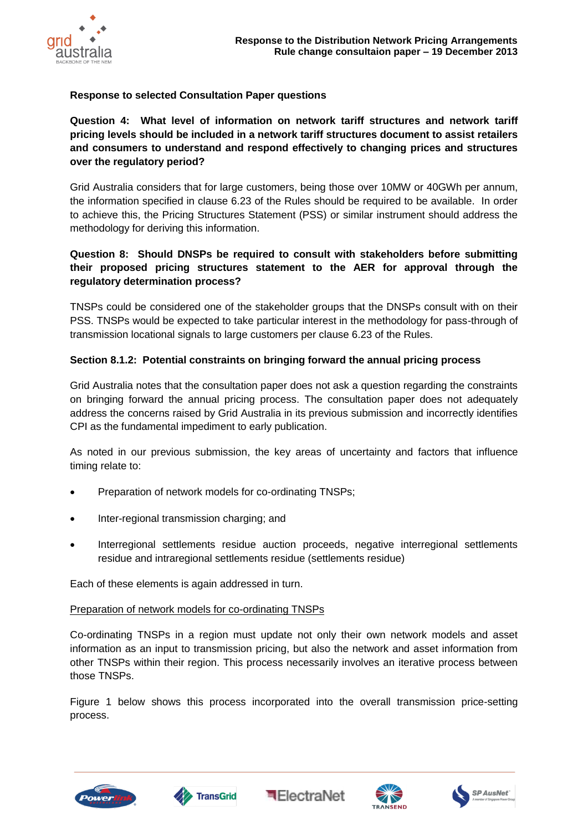

# **Response to selected Consultation Paper questions**

# **Question 4: What level of information on network tariff structures and network tariff pricing levels should be included in a network tariff structures document to assist retailers and consumers to understand and respond effectively to changing prices and structures over the regulatory period?**

Grid Australia considers that for large customers, being those over 10MW or 40GWh per annum, the information specified in clause 6.23 of the Rules should be required to be available. In order to achieve this, the Pricing Structures Statement (PSS) or similar instrument should address the methodology for deriving this information.

# **Question 8: Should DNSPs be required to consult with stakeholders before submitting their proposed pricing structures statement to the AER for approval through the regulatory determination process?**

TNSPs could be considered one of the stakeholder groups that the DNSPs consult with on their PSS. TNSPs would be expected to take particular interest in the methodology for pass-through of transmission locational signals to large customers per clause 6.23 of the Rules.

# **Section 8.1.2: Potential constraints on bringing forward the annual pricing process**

Grid Australia notes that the consultation paper does not ask a question regarding the constraints on bringing forward the annual pricing process. The consultation paper does not adequately address the concerns raised by Grid Australia in its previous submission and incorrectly identifies CPI as the fundamental impediment to early publication.

As noted in our previous submission, the key areas of uncertainty and factors that influence timing relate to:

- Preparation of network models for co-ordinating TNSPs;
- Inter-regional transmission charging: and
- Interregional settlements residue auction proceeds, negative interregional settlements residue and intraregional settlements residue (settlements residue)

Each of these elements is again addressed in turn.

# Preparation of network models for co-ordinating TNSPs

Co-ordinating TNSPs in a region must update not only their own network models and asset information as an input to transmission pricing, but also the network and asset information from other TNSPs within their region. This process necessarily involves an iterative process between those TNSPs.

Figure 1 below shows this process incorporated into the overall transmission price-setting process.









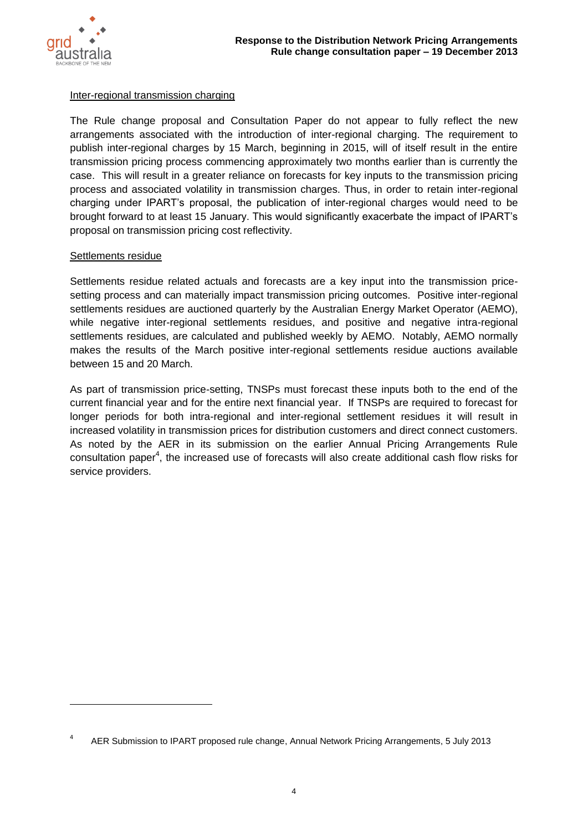

### Inter-regional transmission charging

The Rule change proposal and Consultation Paper do not appear to fully reflect the new arrangements associated with the introduction of inter-regional charging. The requirement to publish inter-regional charges by 15 March, beginning in 2015, will of itself result in the entire transmission pricing process commencing approximately two months earlier than is currently the case. This will result in a greater reliance on forecasts for key inputs to the transmission pricing process and associated volatility in transmission charges. Thus, in order to retain inter-regional charging under IPART's proposal, the publication of inter-regional charges would need to be brought forward to at least 15 January. This would significantly exacerbate the impact of IPART's proposal on transmission pricing cost reflectivity.

## Settlements residue

 $\overline{a}$ 

Settlements residue related actuals and forecasts are a key input into the transmission pricesetting process and can materially impact transmission pricing outcomes. Positive inter-regional settlements residues are auctioned quarterly by the Australian Energy Market Operator (AEMO), while negative inter-regional settlements residues, and positive and negative intra-regional settlements residues, are calculated and published weekly by AEMO. Notably, AEMO normally makes the results of the March positive inter-regional settlements residue auctions available between 15 and 20 March.

As part of transmission price-setting, TNSPs must forecast these inputs both to the end of the current financial year and for the entire next financial year. If TNSPs are required to forecast for longer periods for both intra-regional and inter-regional settlement residues it will result in increased volatility in transmission prices for distribution customers and direct connect customers. As noted by the AER in its submission on the earlier Annual Pricing Arrangements Rule consultation paper<sup>4</sup>, the increased use of forecasts will also create additional cash flow risks for service providers.

<sup>4</sup> AER Submission to IPART proposed rule change, Annual Network Pricing Arrangements, 5 July 2013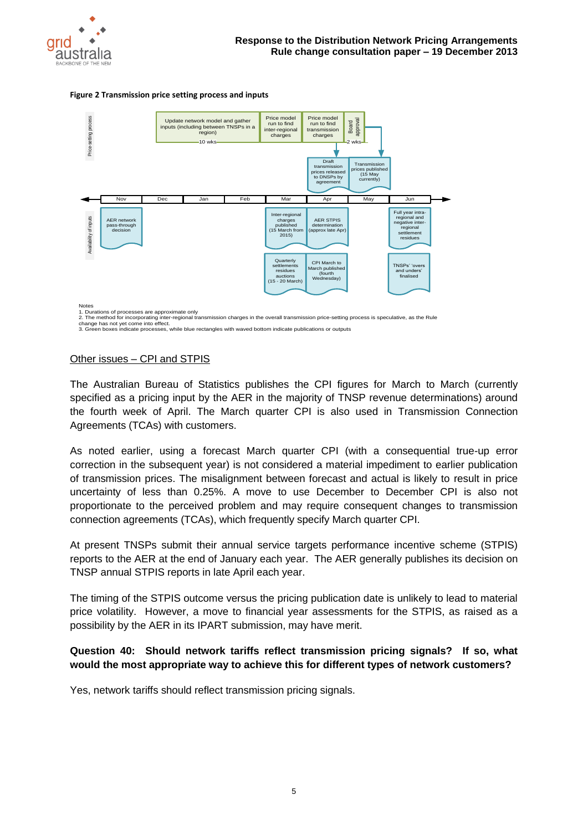

#### **Figure 2 Transmission price setting process and inputs**



1. Durations of processes are approximate only

2. The method for incorporating inter-regional transmission charges in the overall transmission price-setting process is speculative, as the Rule<br>change has not yet come into effect.<br>3. Green boxes indicate processes, whil

### Other issues – CPI and STPIS

The Australian Bureau of Statistics publishes the CPI figures for March to March (currently specified as a pricing input by the AER in the majority of TNSP revenue determinations) around the fourth week of April. The March quarter CPI is also used in Transmission Connection Agreements (TCAs) with customers.

As noted earlier, using a forecast March quarter CPI (with a consequential true-up error correction in the subsequent year) is not considered a material impediment to earlier publication of transmission prices. The misalignment between forecast and actual is likely to result in price uncertainty of less than 0.25%. A move to use December to December CPI is also not proportionate to the perceived problem and may require consequent changes to transmission connection agreements (TCAs), which frequently specify March quarter CPI.

At present TNSPs submit their annual service targets performance incentive scheme (STPIS) reports to the AER at the end of January each year. The AER generally publishes its decision on TNSP annual STPIS reports in late April each year.

The timing of the STPIS outcome versus the pricing publication date is unlikely to lead to material price volatility. However, a move to financial year assessments for the STPIS, as raised as a possibility by the AER in its IPART submission, may have merit.

## **Question 40: Should network tariffs reflect transmission pricing signals? If so, what would the most appropriate way to achieve this for different types of network customers?**

Yes, network tariffs should reflect transmission pricing signals.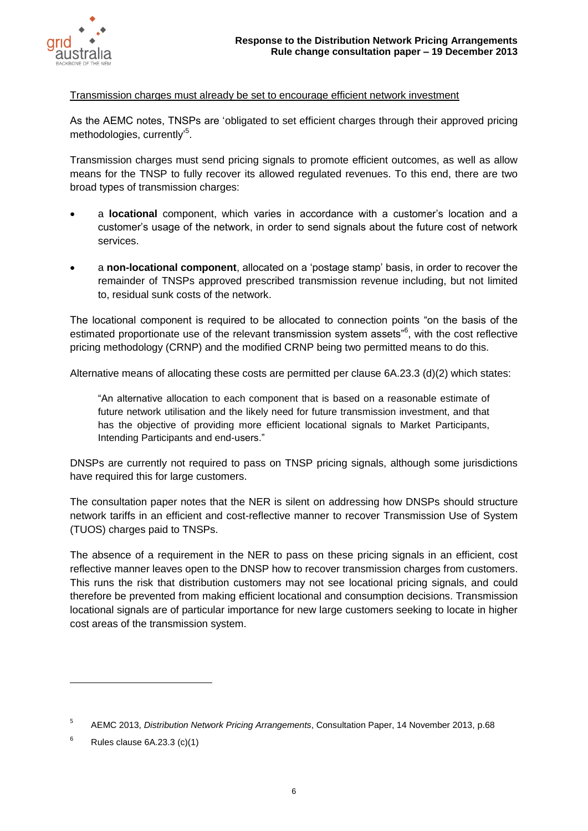

### Transmission charges must already be set to encourage efficient network investment

As the AEMC notes, TNSPs are 'obligated to set efficient charges through their approved pricing methodologies, currently'<sup>5</sup>.

Transmission charges must send pricing signals to promote efficient outcomes, as well as allow means for the TNSP to fully recover its allowed regulated revenues. To this end, there are two broad types of transmission charges:

- a **locational** component, which varies in accordance with a customer's location and a customer's usage of the network, in order to send signals about the future cost of network services.
- a **non-locational component**, allocated on a 'postage stamp' basis, in order to recover the remainder of TNSPs approved prescribed transmission revenue including, but not limited to, residual sunk costs of the network.

The locational component is required to be allocated to connection points "on the basis of the estimated proportionate use of the relevant transmission system assets"<sup>6</sup>, with the cost reflective pricing methodology (CRNP) and the modified CRNP being two permitted means to do this.

Alternative means of allocating these costs are permitted per clause 6A.23.3 (d)(2) which states:

"An alternative allocation to each component that is based on a reasonable estimate of future network utilisation and the likely need for future transmission investment, and that has the objective of providing more efficient locational signals to Market Participants, Intending Participants and end-users."

DNSPs are currently not required to pass on TNSP pricing signals, although some jurisdictions have required this for large customers.

The consultation paper notes that the NER is silent on addressing how DNSPs should structure network tariffs in an efficient and cost-reflective manner to recover Transmission Use of System (TUOS) charges paid to TNSPs.

The absence of a requirement in the NER to pass on these pricing signals in an efficient, cost reflective manner leaves open to the DNSP how to recover transmission charges from customers. This runs the risk that distribution customers may not see locational pricing signals, and could therefore be prevented from making efficient locational and consumption decisions. Transmission locational signals are of particular importance for new large customers seeking to locate in higher cost areas of the transmission system.

 $\overline{a}$ 

<sup>5</sup> AEMC 2013, *Distribution Network Pricing Arrangements*, Consultation Paper, 14 November 2013, p.68

 $6$  Rules clause 6A.23.3 (c)(1)